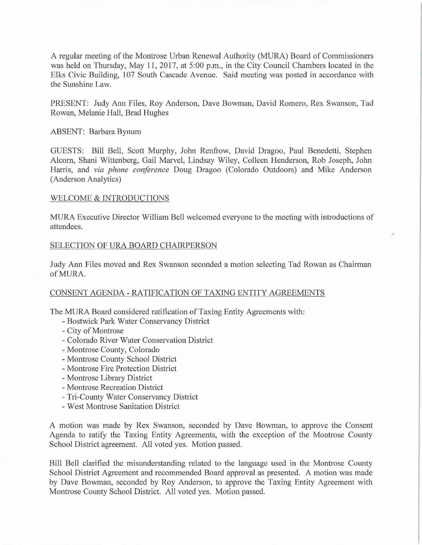A regular meeting of the Montrose Urban Renewal Authority (MURA) Board of Commissioners was held on Thursday, May 11, 2017, at 5:00 p.m., in the City Council Chambers located in the Elks Civic Building, 107 South Cascade A venue. Said meeting was posted in accordance with the Sunshine Law.

PRESENT: Judy Ann Files, Roy Anderson, Dave Bowman, David Romero, Rex Swanson, Tad Rowan, Melanie Hall, Brad Hughes

## ABSENT: Barbara Bynum

GUESTS: Bill Bell, Scott Murphy, John Renfrow, David Dragoo, Paul Benedetti, Stephen Alcorn, Shani Wittenberg, Gail Marvel, Lindsay Wiley, Colleen Henderson, Rob Joseph, John Hanis, and *via phone conference* Doug Dragoo (Colorado Outdoors) and Mike Anderson (Anderson Analytics)

### WELCOME & INTRODUCTIONS

MURA Executive Director William Bell welcomed everyone to the meeting with introductions of attendees.

### SELECTION OF URA BOARD CHAIRPERSON

Judy Ann Files moved and Rex Swanson seconded a motion selecting Tad Rowan as Chairman ofMURA.

### CONSENT AGENDA- RATIFICATION OF TAXING ENTITY AGREEMENTS

The MURA Board considered ratification of Taxing Entity Agreements with:

- -Bostwick Park Water Conservancy District
- City of Montrose
- Colorado River Water Conservation District
- -Montrose County, Colorado
- Montrose County School District
- Montrose Fire Protection District
- Montrose Library District
- Montrose Recreation District
- Tri-County Water Conservancy District
- West Montrose Sanitation District

A motion was made by Rex Swanson, seconded by Dave Bowman, to approve the Consent Agenda to ratify the Taxing Entity Agreements, with the exception of the Montrose County School District agreement. All voted yes. Motion passed.

Bill Bell clarified the misunderstanding related to the language used in the Montrose County School District Agreement and recommended Board approval as presented. A motion was made by Dave Bowman, seconded by Roy Anderson, to approve the Taxing Entity Agreement with Montrose County School District. All voted yes. Motion passed.